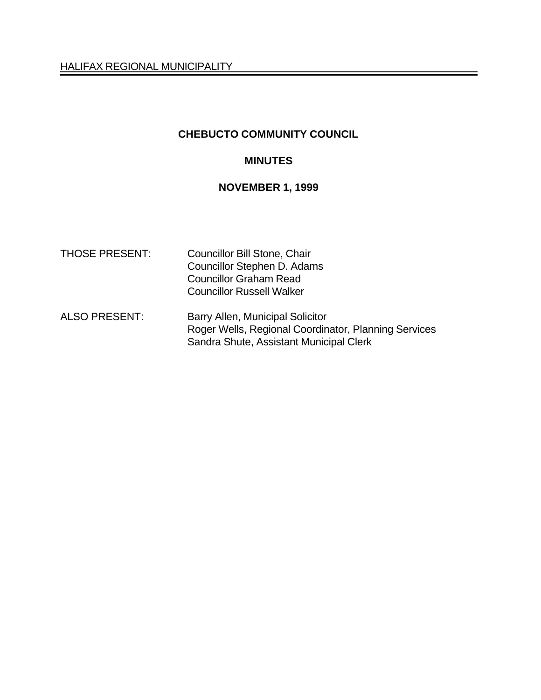# **CHEBUCTO COMMUNITY COUNCIL**

### **MINUTES**

# **NOVEMBER 1, 1999**

| <b>THOSE PRESENT:</b> | <b>Councillor Bill Stone, Chair</b><br>Councillor Stephen D. Adams<br><b>Councillor Graham Read</b><br><b>Councillor Russell Walker</b> |
|-----------------------|-----------------------------------------------------------------------------------------------------------------------------------------|
| <b>ALSO PRESENT:</b>  | Barry Allen, Municipal Solicitor<br>Roger Wells, Regional Coordinator, Planning Services<br>Sandra Shute, Assistant Municipal Clerk     |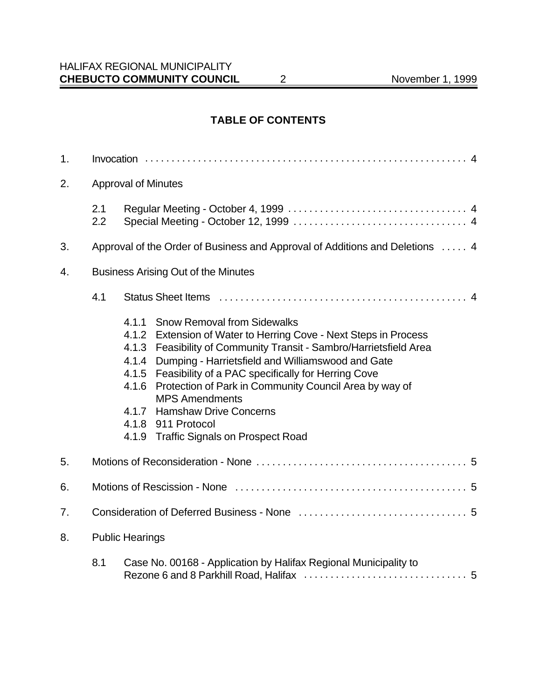### HALIFAX REGIONAL MUNICIPALITY **CHEBUCTO COMMUNITY COUNCIL** 2 November 1, 1999

### **TABLE OF CONTENTS**

| 1.                           |                                            |                                                                                                                                                                                                                                                                                                                                                                                                                                                                                                                |  |  |
|------------------------------|--------------------------------------------|----------------------------------------------------------------------------------------------------------------------------------------------------------------------------------------------------------------------------------------------------------------------------------------------------------------------------------------------------------------------------------------------------------------------------------------------------------------------------------------------------------------|--|--|
| 2.                           | <b>Approval of Minutes</b>                 |                                                                                                                                                                                                                                                                                                                                                                                                                                                                                                                |  |  |
|                              | 2.1<br>2.2                                 |                                                                                                                                                                                                                                                                                                                                                                                                                                                                                                                |  |  |
| 3.                           |                                            | Approval of the Order of Business and Approval of Additions and Deletions  4                                                                                                                                                                                                                                                                                                                                                                                                                                   |  |  |
| 4.                           | <b>Business Arising Out of the Minutes</b> |                                                                                                                                                                                                                                                                                                                                                                                                                                                                                                                |  |  |
|                              | 4.1                                        |                                                                                                                                                                                                                                                                                                                                                                                                                                                                                                                |  |  |
|                              |                                            | 4.1.1<br><b>Snow Removal from Sidewalks</b><br>4.1.2 Extension of Water to Herring Cove - Next Steps in Process<br>4.1.3 Feasibility of Community Transit - Sambro/Harrietsfield Area<br>Dumping - Harrietsfield and Williamswood and Gate<br>4.1.4<br>Feasibility of a PAC specifically for Herring Cove<br>4.1.5<br>Protection of Park in Community Council Area by way of<br>4.1.6<br><b>MPS Amendments</b><br>4.1.7 Hamshaw Drive Concerns<br>4.1.8 911 Protocol<br>4.1.9 Traffic Signals on Prospect Road |  |  |
| 5.                           |                                            |                                                                                                                                                                                                                                                                                                                                                                                                                                                                                                                |  |  |
| 6.                           |                                            |                                                                                                                                                                                                                                                                                                                                                                                                                                                                                                                |  |  |
| 7.                           |                                            |                                                                                                                                                                                                                                                                                                                                                                                                                                                                                                                |  |  |
| <b>Public Hearings</b><br>8. |                                            |                                                                                                                                                                                                                                                                                                                                                                                                                                                                                                                |  |  |
|                              | 8.1                                        | Case No. 00168 - Application by Halifax Regional Municipality to                                                                                                                                                                                                                                                                                                                                                                                                                                               |  |  |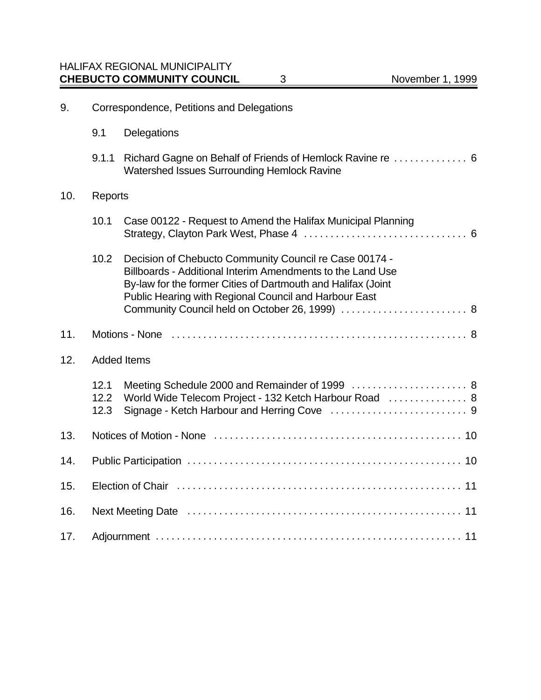| 9.  | Correspondence, Petitions and Delegations |                                                                                                                                                                                                                                                                                                 |  |
|-----|-------------------------------------------|-------------------------------------------------------------------------------------------------------------------------------------------------------------------------------------------------------------------------------------------------------------------------------------------------|--|
|     | 9.1                                       | Delegations                                                                                                                                                                                                                                                                                     |  |
|     | 9.1.1                                     | Richard Gagne on Behalf of Friends of Hemlock Ravine re  6<br>Watershed Issues Surrounding Hemlock Ravine                                                                                                                                                                                       |  |
| 10. | Reports                                   |                                                                                                                                                                                                                                                                                                 |  |
|     | 10.1                                      | Case 00122 - Request to Amend the Halifax Municipal Planning                                                                                                                                                                                                                                    |  |
|     | 10.2                                      | Decision of Chebucto Community Council re Case 00174 -<br>Billboards - Additional Interim Amendments to the Land Use<br>By-law for the former Cities of Dartmouth and Halifax (Joint<br>Public Hearing with Regional Council and Harbour East<br>Community Council held on October 26, 1999)  8 |  |
| 11. |                                           |                                                                                                                                                                                                                                                                                                 |  |
| 12. | <b>Added Items</b>                        |                                                                                                                                                                                                                                                                                                 |  |
|     | 12.1<br>12.2<br>12.3                      | Meeting Schedule 2000 and Remainder of 1999  8<br>World Wide Telecom Project - 132 Ketch Harbour Road  8                                                                                                                                                                                        |  |
| 13. |                                           |                                                                                                                                                                                                                                                                                                 |  |

14. Public Participation .................................................... 10

15. Election of Chair ...................................................... 11

16. Next Meeting Date .................................................... 11

17. Adjournment .......................................................... 11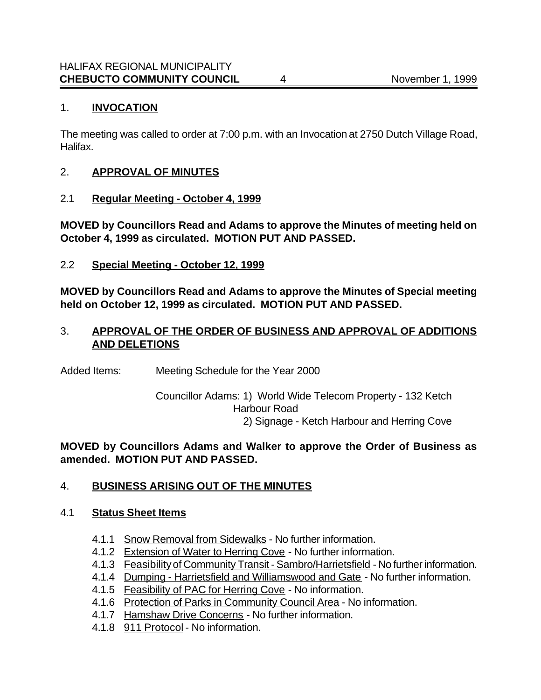### 1. **INVOCATION**

The meeting was called to order at 7:00 p.m. with an Invocation at 2750 Dutch Village Road, Halifax.

### 2. **APPROVAL OF MINUTES**

2.1 **Regular Meeting - October 4, 1999**

**MOVED by Councillors Read and Adams to approve the Minutes of meeting held on October 4, 1999 as circulated. MOTION PUT AND PASSED.**

2.2 **Special Meeting - October 12, 1999**

**MOVED by Councillors Read and Adams to approve the Minutes of Special meeting held on October 12, 1999 as circulated. MOTION PUT AND PASSED.**

### 3. **APPROVAL OF THE ORDER OF BUSINESS AND APPROVAL OF ADDITIONS AND DELETIONS**

Added Items: Meeting Schedule for the Year 2000

Councillor Adams: 1) World Wide Telecom Property - 132 Ketch Harbour Road 2) Signage - Ketch Harbour and Herring Cove

**MOVED by Councillors Adams and Walker to approve the Order of Business as amended. MOTION PUT AND PASSED.**

## 4. **BUSINESS ARISING OUT OF THE MINUTES**

### 4.1 **Status Sheet Items**

- 4.1.1 Snow Removal from Sidewalks No further information.
- 4.1.2 Extension of Water to Herring Cove No further information.
- 4.1.3 Feasibility of Community Transit Sambro/Harrietsfield No further information.
- 4.1.4 Dumping Harrietsfield and Williamswood and Gate No further information.
- 4.1.5 Feasibility of PAC for Herring Cove No information.
- 4.1.6 Protection of Parks in Community Council Area No information.
- 4.1.7 Hamshaw Drive Concerns No further information.
- 4.1.8 911 Protocol No information.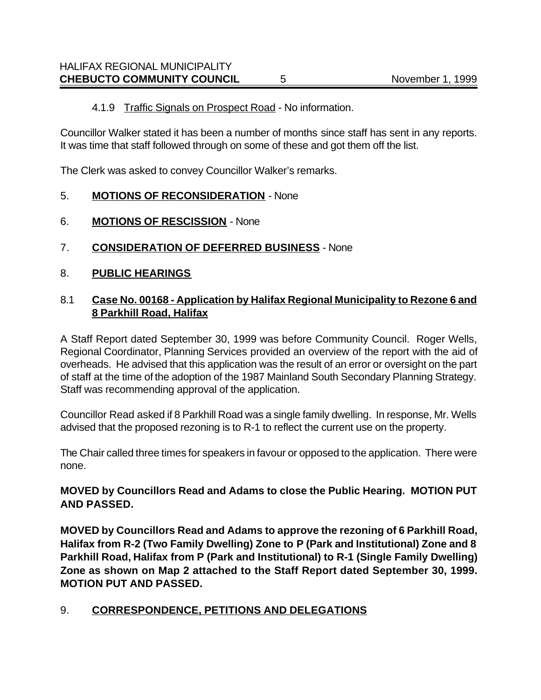# 4.1.9 Traffic Signals on Prospect Road - No information.

Councillor Walker stated it has been a number of months since staff has sent in any reports. It was time that staff followed through on some of these and got them off the list.

The Clerk was asked to convey Councillor Walker's remarks.

# 5. **MOTIONS OF RECONSIDERATION** - None

- 6. **MOTIONS OF RESCISSION** None
- 7. **CONSIDERATION OF DEFERRED BUSINESS** None
- 8. **PUBLIC HEARINGS**

## 8.1 **Case No. 00168 - Application by Halifax Regional Municipality to Rezone 6 and 8 Parkhill Road, Halifax**

A Staff Report dated September 30, 1999 was before Community Council. Roger Wells, Regional Coordinator, Planning Services provided an overview of the report with the aid of overheads. He advised that this application was the result of an error or oversight on the part of staff at the time of the adoption of the 1987 Mainland South Secondary Planning Strategy. Staff was recommending approval of the application.

Councillor Read asked if 8 Parkhill Road was a single family dwelling. In response, Mr. Wells advised that the proposed rezoning is to R-1 to reflect the current use on the property.

The Chair called three times for speakers in favour or opposed to the application. There were none.

# **MOVED by Councillors Read and Adams to close the Public Hearing. MOTION PUT AND PASSED.**

**MOVED by Councillors Read and Adams to approve the rezoning of 6 Parkhill Road, Halifax from R-2 (Two Family Dwelling) Zone to P (Park and Institutional) Zone and 8 Parkhill Road, Halifax from P (Park and Institutional) to R-1 (Single Family Dwelling) Zone as shown on Map 2 attached to the Staff Report dated September 30, 1999. MOTION PUT AND PASSED.**

# 9. **CORRESPONDENCE, PETITIONS AND DELEGATIONS**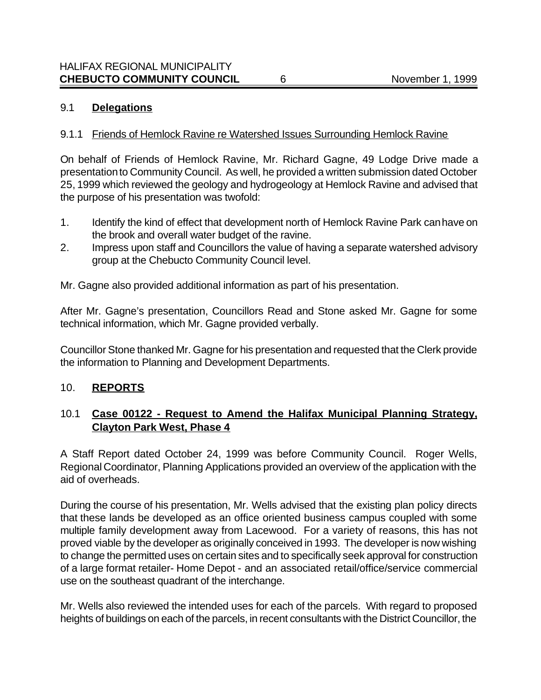### 9.1 **Delegations**

### 9.1.1 Friends of Hemlock Ravine re Watershed Issues Surrounding Hemlock Ravine

On behalf of Friends of Hemlock Ravine, Mr. Richard Gagne, 49 Lodge Drive made a presentation to Community Council. As well, he provided a written submission dated October 25, 1999 which reviewed the geology and hydrogeology at Hemlock Ravine and advised that the purpose of his presentation was twofold:

- 1. Identify the kind of effect that development north of Hemlock Ravine Park can have on the brook and overall water budget of the ravine.
- 2. Impress upon staff and Councillors the value of having a separate watershed advisory group at the Chebucto Community Council level.

Mr. Gagne also provided additional information as part of his presentation.

After Mr. Gagne's presentation, Councillors Read and Stone asked Mr. Gagne for some technical information, which Mr. Gagne provided verbally.

Councillor Stone thanked Mr. Gagne for his presentation and requested that the Clerk provide the information to Planning and Development Departments.

### 10. **REPORTS**

## 10.1 **Case 00122 - Request to Amend the Halifax Municipal Planning Strategy, Clayton Park West, Phase 4**

A Staff Report dated October 24, 1999 was before Community Council. Roger Wells, Regional Coordinator, Planning Applications provided an overview of the application with the aid of overheads.

During the course of his presentation, Mr. Wells advised that the existing plan policy directs that these lands be developed as an office oriented business campus coupled with some multiple family development away from Lacewood. For a variety of reasons, this has not proved viable by the developer as originally conceived in 1993. The developer is now wishing to change the permitted uses on certain sites and to specifically seek approval for construction of a large format retailer- Home Depot - and an associated retail/office/service commercial use on the southeast quadrant of the interchange.

Mr. Wells also reviewed the intended uses for each of the parcels. With regard to proposed heights of buildings on each of the parcels, in recent consultants with the District Councillor, the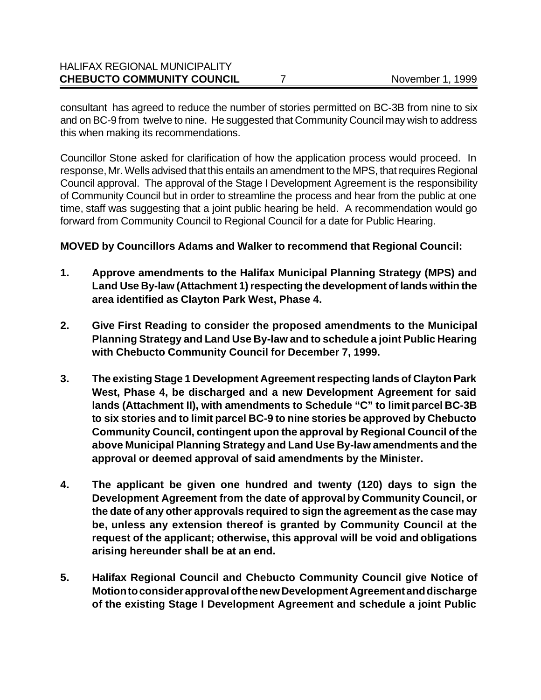| <b>CHEBUCTO COMMUNITY COUNCIL</b>    | November 1, 1999 |
|--------------------------------------|------------------|
| <b>HALIFAX REGIONAL MUNICIPALITY</b> |                  |

consultant has agreed to reduce the number of stories permitted on BC-3B from nine to six and on BC-9 from twelve to nine. He suggested that Community Council may wish to address this when making its recommendations.

Councillor Stone asked for clarification of how the application process would proceed. In response, Mr. Wells advised that this entails an amendment to the MPS, that requires Regional Council approval. The approval of the Stage I Development Agreement is the responsibility of Community Council but in order to streamline the process and hear from the public at one time, staff was suggesting that a joint public hearing be held. A recommendation would go forward from Community Council to Regional Council for a date for Public Hearing.

### **MOVED by Councillors Adams and Walker to recommend that Regional Council:**

- **1. Approve amendments to the Halifax Municipal Planning Strategy (MPS) and Land Use By-law (Attachment 1) respecting the development of lands within the area identified as Clayton Park West, Phase 4.**
- **2. Give First Reading to consider the proposed amendments to the Municipal Planning Strategy and Land Use By-law and to schedule a joint Public Hearing with Chebucto Community Council for December 7, 1999.**
- **3. The existing Stage 1 Development Agreement respecting lands of Clayton Park West, Phase 4, be discharged and a new Development Agreement for said lands (Attachment II), with amendments to Schedule "C" to limit parcel BC-3B to six stories and to limit parcel BC-9 to nine stories be approved by Chebucto Community Council, contingent upon the approval by Regional Council of the above Municipal Planning Strategy and Land Use By-law amendments and the approval or deemed approval of said amendments by the Minister.**
- **4. The applicant be given one hundred and twenty (120) days to sign the Development Agreement from the date of approval by Community Council, or the date of any other approvals required to sign the agreement as the case may be, unless any extension thereof is granted by Community Council at the request of the applicant; otherwise, this approval will be void and obligations arising hereunder shall be at an end.**
- **5. Halifax Regional Council and Chebucto Community Council give Notice of Motion to consider approval of the new Development Agreement and discharge of the existing Stage I Development Agreement and schedule a joint Public**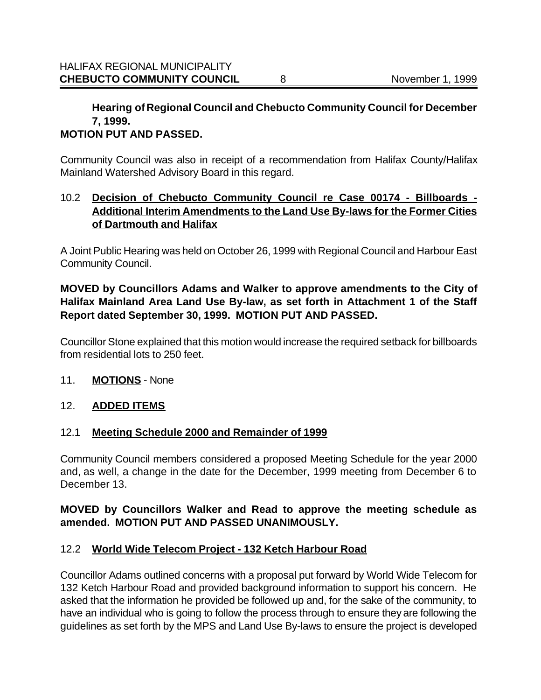# **Hearing of Regional Council and Chebucto Community Council for December 7, 1999.**

### **MOTION PUT AND PASSED.**

Community Council was also in receipt of a recommendation from Halifax County/Halifax Mainland Watershed Advisory Board in this regard.

## 10.2 **Decision of Chebucto Community Council re Case 00174 - Billboards - Additional Interim Amendments to the Land Use By-laws for the Former Cities of Dartmouth and Halifax**

A Joint Public Hearing was held on October 26, 1999 with Regional Council and Harbour East Community Council.

## **MOVED by Councillors Adams and Walker to approve amendments to the City of Halifax Mainland Area Land Use By-law, as set forth in Attachment 1 of the Staff Report dated September 30, 1999. MOTION PUT AND PASSED.**

Councillor Stone explained that this motion would increase the required setback for billboards from residential lots to 250 feet.

### 11. **MOTIONS** - None

## 12. **ADDED ITEMS**

### 12.1 **Meeting Schedule 2000 and Remainder of 1999**

Community Council members considered a proposed Meeting Schedule for the year 2000 and, as well, a change in the date for the December, 1999 meeting from December 6 to December 13.

### **MOVED by Councillors Walker and Read to approve the meeting schedule as amended. MOTION PUT AND PASSED UNANIMOUSLY.**

## 12.2 **World Wide Telecom Project - 132 Ketch Harbour Road**

Councillor Adams outlined concerns with a proposal put forward by World Wide Telecom for 132 Ketch Harbour Road and provided background information to support his concern. He asked that the information he provided be followed up and, for the sake of the community, to have an individual who is going to follow the process through to ensure they are following the guidelines as set forth by the MPS and Land Use By-laws to ensure the project is developed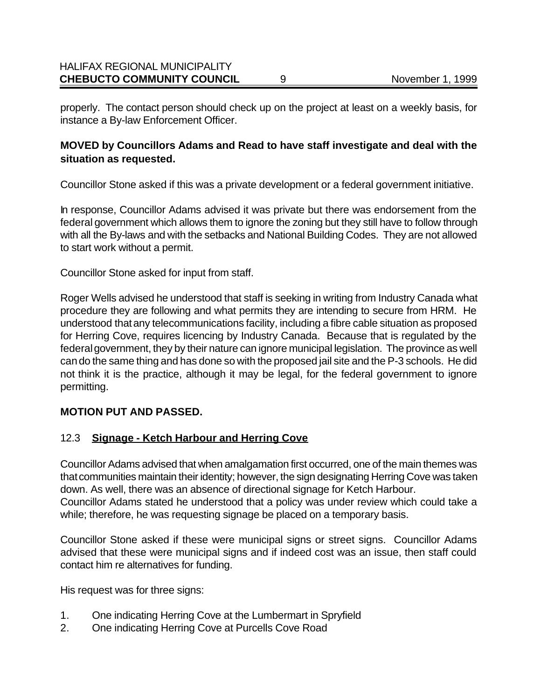### HALIFAX REGIONAL MUNICIPALITY **CHEBUCTO COMMUNITY COUNCIL** 9

properly. The contact person should check up on the project at least on a weekly basis, for instance a By-law Enforcement Officer.

### **MOVED by Councillors Adams and Read to have staff investigate and deal with the situation as requested.**

Councillor Stone asked if this was a private development or a federal government initiative.

In response, Councillor Adams advised it was private but there was endorsement from the federal government which allows them to ignore the zoning but they still have to follow through with all the By-laws and with the setbacks and National Building Codes. They are not allowed to start work without a permit.

Councillor Stone asked for input from staff.

Roger Wells advised he understood that staff is seeking in writing from Industry Canada what procedure they are following and what permits they are intending to secure from HRM. He understood that any telecommunications facility, including a fibre cable situation as proposed for Herring Cove, requires licencing by Industry Canada. Because that is regulated by the federal government, they by their nature can ignore municipal legislation. The province as well can do the same thing and has done so with the proposed jail site and the P-3 schools. He did not think it is the practice, although it may be legal, for the federal government to ignore permitting.

## **MOTION PUT AND PASSED.**

### 12.3 **Signage - Ketch Harbour and Herring Cove**

Councillor Adams advised that when amalgamation first occurred, one of the main themes was that communities maintain their identity; however, the sign designating Herring Cove was taken down. As well, there was an absence of directional signage for Ketch Harbour.

Councillor Adams stated he understood that a policy was under review which could take a while; therefore, he was requesting signage be placed on a temporary basis.

Councillor Stone asked if these were municipal signs or street signs. Councillor Adams advised that these were municipal signs and if indeed cost was an issue, then staff could contact him re alternatives for funding.

His request was for three signs:

- 1. One indicating Herring Cove at the Lumbermart in Spryfield
- 2. One indicating Herring Cove at Purcells Cove Road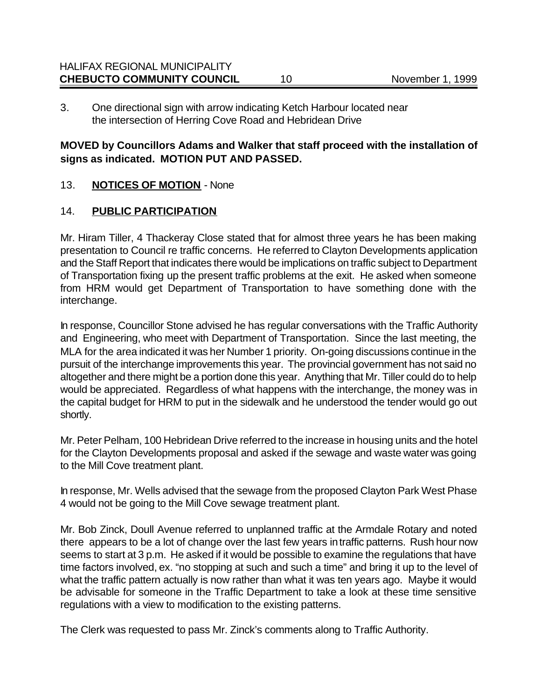3. One directional sign with arrow indicating Ketch Harbour located near the intersection of Herring Cove Road and Hebridean Drive

## **MOVED by Councillors Adams and Walker that staff proceed with the installation of signs as indicated. MOTION PUT AND PASSED.**

# 13. **NOTICES OF MOTION** - None

# 14. **PUBLIC PARTICIPATION**

Mr. Hiram Tiller, 4 Thackeray Close stated that for almost three years he has been making presentation to Council re traffic concerns. He referred to Clayton Developments application and the Staff Report that indicates there would be implications on traffic subject to Department of Transportation fixing up the present traffic problems at the exit. He asked when someone from HRM would get Department of Transportation to have something done with the interchange.

In response, Councillor Stone advised he has regular conversations with the Traffic Authority and Engineering, who meet with Department of Transportation. Since the last meeting, the MLA for the area indicated it was her Number 1 priority. On-going discussions continue in the pursuit of the interchange improvements this year. The provincial government has not said no altogether and there might be a portion done this year. Anything that Mr. Tiller could do to help would be appreciated. Regardless of what happens with the interchange, the money was in the capital budget for HRM to put in the sidewalk and he understood the tender would go out shortly.

Mr. Peter Pelham, 100 Hebridean Drive referred to the increase in housing units and the hotel for the Clayton Developments proposal and asked if the sewage and waste water was going to the Mill Cove treatment plant.

In response, Mr. Wells advised that the sewage from the proposed Clayton Park West Phase 4 would not be going to the Mill Cove sewage treatment plant.

Mr. Bob Zinck, Doull Avenue referred to unplanned traffic at the Armdale Rotary and noted there appears to be a lot of change over the last few years in traffic patterns. Rush hour now seems to start at 3 p.m. He asked if it would be possible to examine the regulations that have time factors involved, ex. "no stopping at such and such a time" and bring it up to the level of what the traffic pattern actually is now rather than what it was ten years ago. Maybe it would be advisable for someone in the Traffic Department to take a look at these time sensitive regulations with a view to modification to the existing patterns.

The Clerk was requested to pass Mr. Zinck's comments along to Traffic Authority.